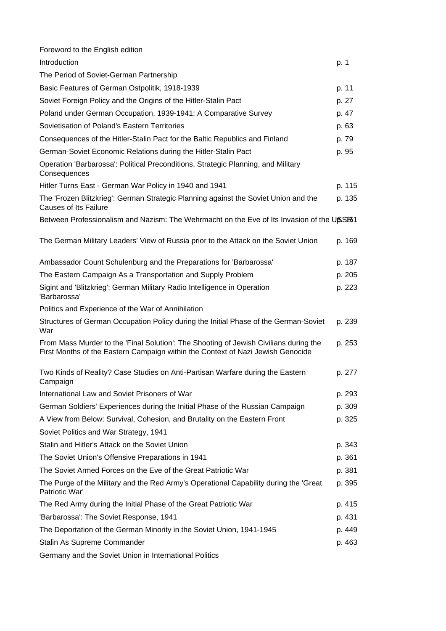| Foreword to the English edition                                                                                                                                          |        |
|--------------------------------------------------------------------------------------------------------------------------------------------------------------------------|--------|
| Introduction                                                                                                                                                             | p. 1   |
| The Period of Soviet-German Partnership                                                                                                                                  |        |
| Basic Features of German Ostpolitik, 1918-1939                                                                                                                           | p. 11  |
| Soviet Foreign Policy and the Origins of the Hitler-Stalin Pact                                                                                                          | p. 27  |
| Poland under German Occupation, 1939-1941: A Comparative Survey                                                                                                          | p. 47  |
| Sovietisation of Poland's Eastern Territories                                                                                                                            | p. 63  |
| Consequences of the Hitler-Stalin Pact for the Baltic Republics and Finland                                                                                              | p. 79  |
| German-Soviet Economic Relations during the Hitler-Stalin Pact                                                                                                           | p. 95  |
| Operation 'Barbarossa': Political Preconditions, Strategic Planning, and Military<br>Consequences                                                                        |        |
| Hitler Turns East - German War Policy in 1940 and 1941                                                                                                                   | p. 115 |
| The 'Frozen Blitzkrieg': German Strategic Planning against the Soviet Union and the<br><b>Causes of Its Failure</b>                                                      | p. 135 |
| Between Professionalism and Nazism: The Wehrmacht on the Eve of Its Invasion of the U6SF81                                                                               |        |
| The German Military Leaders' View of Russia prior to the Attack on the Soviet Union                                                                                      | p. 169 |
| Ambassador Count Schulenburg and the Preparations for 'Barbarossa'                                                                                                       | p. 187 |
| The Eastern Campaign As a Transportation and Supply Problem                                                                                                              | p. 205 |
| Sigint and 'Blitzkrieg': German Military Radio Intelligence in Operation<br>'Barbarossa'                                                                                 | p. 223 |
| Politics and Experience of the War of Annihilation                                                                                                                       |        |
| Structures of German Occupation Policy during the Initial Phase of the German-Soviet<br>War                                                                              | p. 239 |
| From Mass Murder to the 'Final Solution': The Shooting of Jewish Civilians during the<br>First Months of the Eastern Campaign within the Context of Nazi Jewish Genocide | p. 253 |
| Two Kinds of Reality? Case Studies on Anti-Partisan Warfare during the Eastern<br>Campaign                                                                               | p. 277 |
| International Law and Soviet Prisoners of War                                                                                                                            | p. 293 |
| German Soldiers' Experiences during the Initial Phase of the Russian Campaign                                                                                            | p. 309 |
| A View from Below: Survival, Cohesion, and Brutality on the Eastern Front                                                                                                | p. 325 |
| Soviet Politics and War Strategy, 1941                                                                                                                                   |        |
| Stalin and Hitler's Attack on the Soviet Union                                                                                                                           | p. 343 |
| The Soviet Union's Offensive Preparations in 1941                                                                                                                        | p. 361 |
| The Soviet Armed Forces on the Eve of the Great Patriotic War                                                                                                            | p. 381 |
| The Purge of the Military and the Red Army's Operational Capability during the 'Great<br>Patriotic War'                                                                  | p. 395 |
| The Red Army during the Initial Phase of the Great Patriotic War                                                                                                         | p. 415 |
| 'Barbarossa': The Soviet Response, 1941                                                                                                                                  | p. 431 |
| The Deportation of the German Minority in the Soviet Union, 1941-1945                                                                                                    | p. 449 |
| Stalin As Supreme Commander                                                                                                                                              | p. 463 |
| Germany and the Soviet Union in International Politics                                                                                                                   |        |